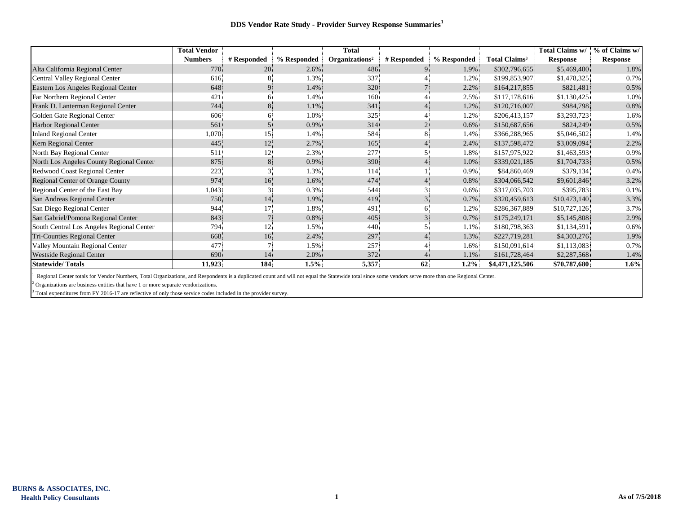## **DDS Vendor Rate Study - Provider Survey Response Summaries<sup>1</sup>**

|                                           | <b>Total Vendor</b> |             |             | <b>Total</b>               |             |             |                           | Total Claims w/ | % of Claims w/  |
|-------------------------------------------|---------------------|-------------|-------------|----------------------------|-------------|-------------|---------------------------|-----------------|-----------------|
|                                           | <b>Numbers</b>      | # Responded | % Responded | Organizations <sup>2</sup> | # Responded | % Responded | Total Claims <sup>3</sup> | <b>Response</b> | <b>Response</b> |
| Alta California Regional Center           | 770                 | 20          | $2.6\%$     | 486                        |             | 1.9%        | \$302,796,655             | \$5,469,400     | 1.8%            |
| Central Valley Regional Center            | 616                 |             | 1.3%        | 337                        |             | 1.2%        | \$199,853,907             | \$1,478,325     | 0.7%            |
| Eastern Los Angeles Regional Center       | 648                 |             | 1.4%        | 320                        |             | 2.2%        | \$164,217,855             | \$821,481       | 0.5%            |
| Far Northern Regional Center              | 421                 |             | 1.4%        | 160                        |             | 2.5%        | \$117,178,616             | \$1,130,425     | 1.0%            |
| Frank D. Lanterman Regional Center        | 744                 | 8.          | 1.1%        | 341                        |             | 1.2%        | \$120,716,007             | \$984,798       | 0.8%            |
| Golden Gate Regional Center               | 606                 |             | 1.0%        | 325                        |             | 1.2%        | \$206,413,157             | \$3,293,723     | 1.6%            |
| <b>Harbor Regional Center</b>             | 561                 |             | 0.9%        | 314                        |             | 0.6%        | \$150,687,656             | \$824,249       | 0.5%            |
| <b>Inland Regional Center</b>             | 1,070               | 15          | 1.4%        | 584                        |             | 1.4%        | \$366,288,965             | \$5,046,502     | 1.4%            |
| Kern Regional Center                      | 445                 | 12          | 2.7%        | 165                        |             | 2.4%        | \$137,598,472             | \$3,009,094     | 2.2%            |
| North Bay Regional Center                 | 511                 | 12.         | 2.3%        | 277                        |             | 1.8%        | \$157,975,922             | \$1,463,593     | 0.9%            |
| North Los Angeles County Regional Center  | 875                 | 8           | 0.9%        | 390                        |             | 1.0%        | \$339,021,185             | \$1,704,733     | 0.5%            |
| Redwood Coast Regional Center             | 223                 |             | 1.3%        | 114                        |             | 0.9%        | \$84,860,469              | \$379,134       | 0.4%            |
| Regional Center of Orange County          | 974                 | 16          | 1.6%        | 474                        |             | 0.8%        | \$304,066,542             | \$9,601,846     | 3.2%            |
| Regional Center of the East Bay           | 1,043               |             | 0.3%        | 544                        |             | $0.6\%$     | \$317,035,703             | \$395,783       | 0.1%            |
| San Andreas Regional Center               | 750                 | 14          | 1.9%        | 419                        |             | 0.7%        | \$320,459,613             | \$10,473,140    | 3.3%            |
| San Diego Regional Center                 | 944                 | 17          | 1.8%        | 491                        |             | 1.2%        | \$286,367,889             | \$10,727,126    | 3.7%            |
| San Gabriel/Pomona Regional Center        | 843                 |             | 0.8%        | 405                        |             | 0.7%        | \$175,249,171             | \$5,145,808     | 2.9%            |
| South Central Los Angeles Regional Center | 794                 | 12.         | 1.5%        | 440                        |             | 1.1%        | \$180,798,363             | \$1,134,591     | 0.6%            |
| Tri-Counties Regional Center              | 668                 | 16          | 2.4%        | 297                        |             | 1.3%        | \$227,719,281             | \$4,303,276     | 1.9%            |
| Valley Mountain Regional Center           | 477                 |             | 1.5%        | 257                        |             | 1.6%        | \$150,091,614             | \$1,113,083     | 0.7%            |
| <b>Westside Regional Center</b>           | 690                 | 14          | 2.0%        | 372                        |             | 1.1%        | \$161,728,464             | \$2,287,568     | 1.4%            |
| <b>Statewide/Totals</b>                   | 11,923              | 184         | 1.5%        | 5,357                      | 62          | $1.2\%$     | \$4,471,125,506           | \$70,787,680    | $1.6\%$         |

1 Regional Center totals for Vendor Numbers, Total Organizations, and Respondents is a duplicated count and will not equal the Statewide total since some vendors serve more than one Regional Center.

 $2$  Organizations are business entities that have 1 or more separate vendorizations.

<sup>3</sup> Total expenditures from FY 2016-17 are reflective of only those service codes included in the provider survey.